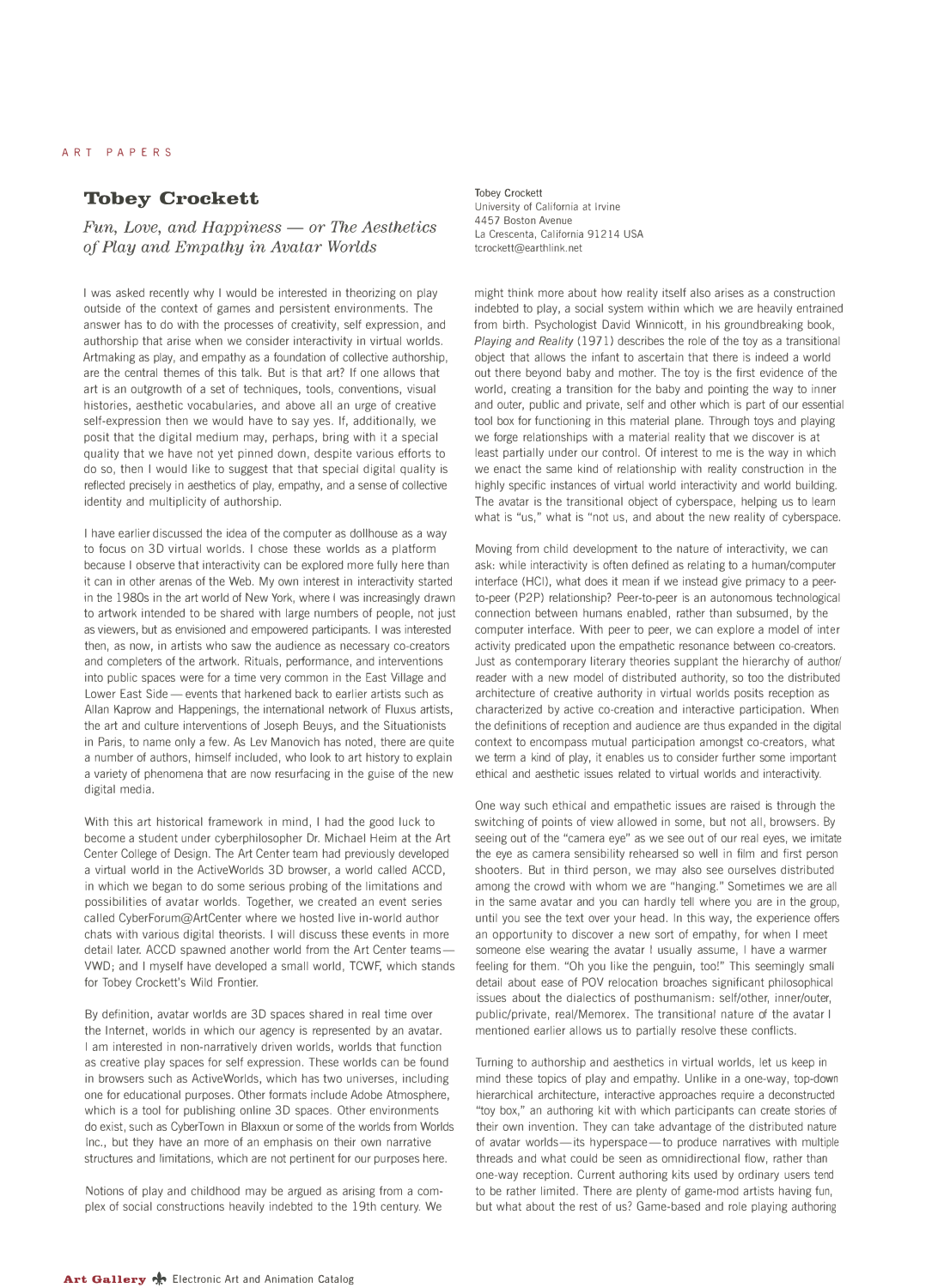## ART PAPERS

## **Tobey Crockett**

*Fun, Love, and Happiness* - *or The Aesthetics of Play and Empathy in Avatar Worlds* 

I was asked recently why I would be interested in theorizing on play outside of the context of games and persistent environments. The answer has to do with the processes of creativity, self expression, and authorship that arise when we consider interactivity in virtual worlds. Artmaking as play, and empathy as a foundation of collective authorship, are the central themes of this talk. But is that art? If one allows that art is an outgrowth of a set of techniques, tools, conventions, visual histories, aesthetic vocabularies, and above all an urge of creative self-expression then we would have to say yes. If, additionally, we posit that the digital medium may, perhaps, bring with it a special quality that we have not yet pinned down, despite various efforts to do so, then I would like to suggest that that special digital quality is reflected precisely in aesthetics of play, empathy, and a sense of collective identity and multiplicity of authorship.

I have earlier discussed the idea of the computer as dollhouse as a way to focus on 3D virtual worlds. I chose these worlds as a platform because I observe that interactivity can be explored more fully here than it can in other arenas of the Web. My own interest in interactivity started in the 1980s in the art world of New York, where I was increasingly drawn to artwork intended to be shared with large numbers of people, not just as viewers, but as envisioned and empowered participants. I was interested then, as now, in artists who saw the audience as necessary co-creators and completers of the artwork. Rituals, performance, and interventions into public spaces were for a time very common in the East Village and Lower East Side - events that harkened back to earlier artists such as Allan Kaprow and Happenings, the international network of Fluxus artists, the art and culture interventions of Joseph Beuys, and the Situationists in Paris, to name only a few. As Lev Manovich has noted, there are quite a number of authors, himself included, who look to art history to explain a variety of phenomena that are now resurfacing in the guise of the new digital media.

With this art historical framework in mind, I had the good luck to become a student under cyberphilosopher Dr. Michael Heim at the Art Center College of Design. The Art Center team had previously developed a virtual world in the ActiveWorlds 3D browser, a world called ACCD, in which we began to do some serious probing of the limitations and possibilities of avatar worlds. Together, we created an event series called CyberForum@ArtCenter where we hosted live in-world author chats with various digital theorists. I will discuss these events in more detail later. ACCD spawned another world from the Art Center teams-VWD; and I myself have developed a small world, TCWF, which stands for Tobey Crockett's Wild Frontier.

By definition, avatar worlds are 3D spaces shared in real time over the Internet, worlds in which our agency is represented by an avatar. I am interested in non-narratively driven worlds, worlds that function as creative play spaces for self expression. These worlds can be found in browsers such as ActiveWorlds, which has two universes, including one for educational purposes. Other formats include Adobe Atmosphere, which is a tool for publishing online 3D spaces. Other environments do exist, such as CyberTown in Blaxxun or some of the worlds from Worlds Inc., but they have an more of an emphasis on their own narrative structures and limitations, which are not pertinent for our purposes here.

Notions of play and childhood may be argued as arising from a complex of social constructions heavily indebted to the 19th century. We Tobey Crockett University of California at Irvine 4457 Boston Avenue La Crescenta, California 91214 USA tcrockett@earthlink.net

might think more about how reality itself also arises as a construction indebted to play, a social system within which we are heavily entrained from birth. Psychologist David Winnicott, in his groundbreaking book, *Playing and Reality* (1971) describes the role of the toy as a transitional object that allows the infant to ascertain that there is indeed a world out there beyond baby and mother. The toy is the first evidence of the world, creating a transition for the baby and pointing the way to inner and outer, public and private, self and other which is part of our essential tool box for functioning in this material plane. Through toys and playing we forge relationships with a material reality that we discover is at least partially under our control. Of interest to me is the way in which we enact the same kind of relationship with reality construction in the highly specific instances of virtual world interactivity and world building. The avatar is the transitional object of cyberspace, helping us to learn what is "us," what is "not us, and about the new reality of cyberspace.

Moving from child development to the nature of interactivity, we can ask: while interactivity is often defined as relating to a human/computer interface (HCI), what does it mean if we instead give primacy to a peerto-peer (P2P) relationship? Peer-to-peer is an autonomous technological connection between humans enabled, rather than subsumed, by the computer interface. With peer to peer, we can explore a model of interactivity predicated upon the empathetic resonance between co-creators. Just as contemporary literary theories supplant the hierarchy of author/ reader with a new model of distributed authority, so too the distributed architecture of creative authority in virtual worlds posits reception as characterized by active co-creation and interactive participation. When the definitions of reception and audience are thus expanded in the digital context to encompass mutual participation amongst co-creators, what we term a kind of play, it enables us to consider further some important ethical and aesthetic issues related to virtual worlds and interactivity.

One way such ethical and empathetic issues are raised is through the switching of points of view allowed in some, but not all, browsers. By seeing out of the "camera eye" as we see out of our real eyes, we imitate the eye as camera sensibility rehearsed so well in film and first person shooters. But in third person, we may also see ourselves distributed among the crowd with whom we are "hanging." Sometimes we are all in the same avatar and you can hardly tell where you are in the group, until you see the text over your head. In this way, the experience offers an opportunity to discover a new sort of empathy, for when I meet someone else wearing the avatar I usually assume, I have a warmer feeling for them. "Oh you like the penguin, too!" This seemingly small detail about ease of POV relocation broaches significant philosophical issues about the dialectics of posthumanism: self/other, inner/outer, public/private, real/Memorex. The transitional nature of the avatar I mentioned earlier allows us to partially resolve these conflicts.

Turning to authorship and aesthetics in virtual worlds, let us keep in mind these topics of play and empathy. Unlike in a one-way, top-down hierarchical architecture, interactive approaches require a deconstructed "toy box," an authoring kit with which participants can create stories of their own invention. They can take advantage of the distributed nature of avatar worlds-its hyperspace-to produce narratives with multiple threads and what could be seen as omnidirectional flow, rather than one-way reception. Current authoring kits used by ordinary users tend to be rather limited. There are plenty of game-mod artists having fun, but what about the rest of us? Game-based and role playing authoring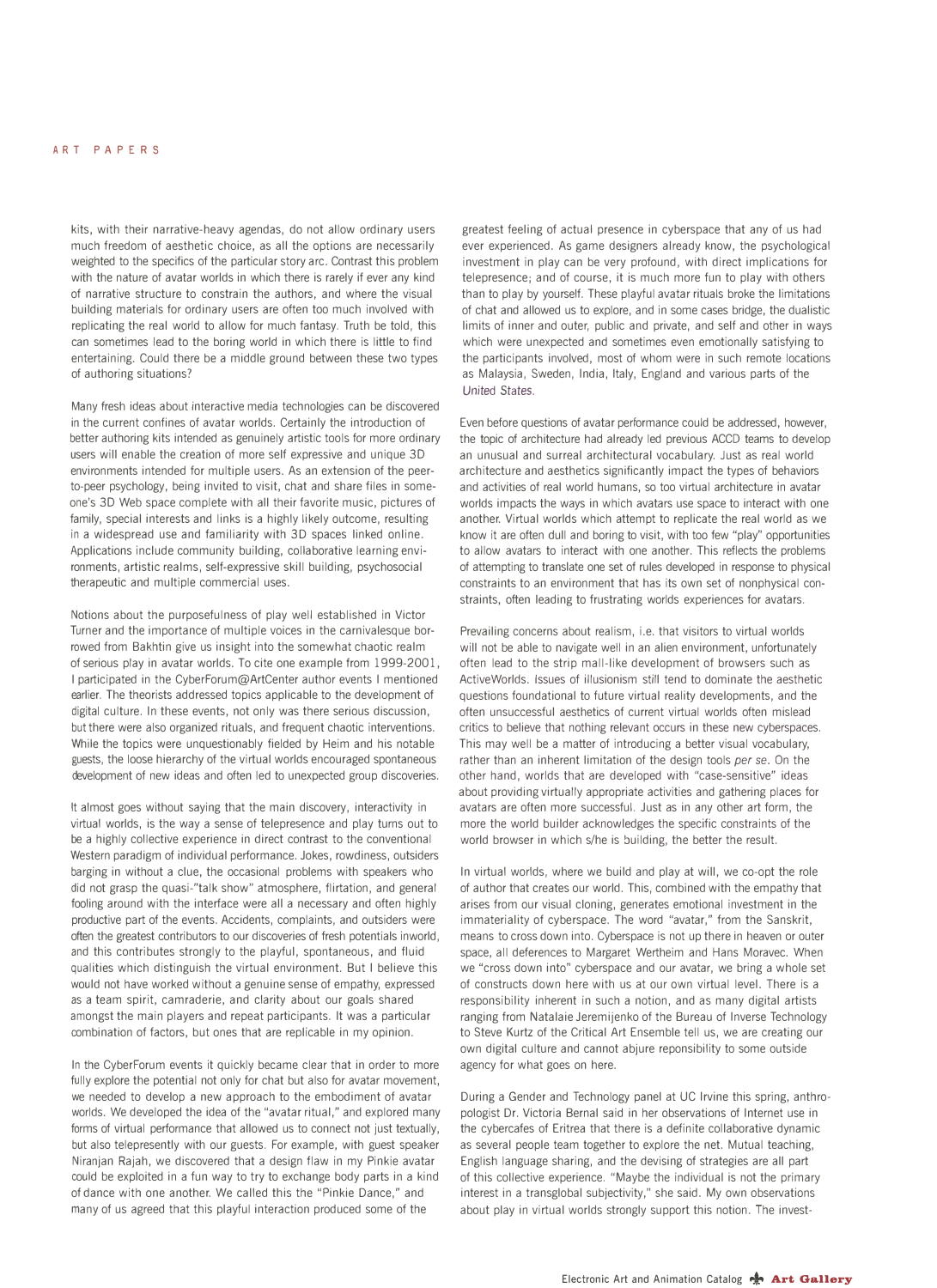kits, with their narrative-heavy agendas, do not allow ordinary users much freedom of aesthetic choice, as all the options are necessarily weighted to the specifics of the particular story arc. Contrast this problem with the nature of avatar worlds in which there is rarely if ever any kind of narrative structure to constrain the authors, and where the visual building materials for ordinary users are often too much involved with replicating the real world to allow for much fantasy. Truth be told, this can sometimes lead to the boring world in which there is little to find entertaining. Could there be a middle ground between these two types of authoring situations?

Many fresh ideas about interactive media technologies can be discovered in the current confines of avatar worlds. Certainly the introduction of better authoring kits intended as genuinely artistic tools for more ordinary users will enable the creation of more self expressive and unique 30 environments intended for multiple users. As an extension of the peerto-peer psychology, being invited to visit, chat and share files in someone's 30 Web space complete with all their favorite music, pictures of family, special interests and links is a highly likely outcome, resulting in a widespread use and familiarity with 3D spaces linked online. Applications include community building, collaborative learning environments, artistic realms, self-expressive skill building, psychosocial therapeutic and multiple commercial uses.

Notions about the purposefulness of play well established in Victor Turner and the importance of multiple voices in the carnivalesque borrowed from Bakhtin give us insight into the somewhat chaotic realm of serious play in avatar worlds. To cite one example from 1999-2001, I participated in the CyberForum@ArtCenter author events I mentioned earlier. The theorists addressed topics applicable to the development of digital culture. In these events, not only was there serious discussion, but there were also organized rituals, and frequent chaotic interventions. While the topics were unquestionably fielded by Heim and his notable guests, the loose hierarchy of the virtual worlds encouraged spontaneous development of new ideas and often led to unexpected group discoveries.

It almost goes without saying that the main discovery, interactivity in virtual worlds, is the way a sense of telepresence and play turns out to be a highly collective experience in direct contrast to the conventional Western paradigm of individual performance. Jokes, rowdiness, outsiders barging in without a clue, the occasional problems with speakers who did not grasp the quasi-"talk show" atmosphere, flirtation, and general fooling around with the interface were all a necessary and often highly productive part of the events. Accidents, complaints, and outsiders were often the greatest contributors to our discoveries of fresh potentials inworld, and this contributes strongly to the playful, spontaneous, and fluid qualities which distinguish the virtual environment. But I believe this would not have worked without a genuine sense of empathy, expressed as a team spirit, camraderie, and clarity about our goals shared amongst the main players and repeat participants. It was a particular combination of factors, but ones that are replicable in my opinion.

In the CyberForum events it quickly became clear that in order to more fully explore the potential not only for chat but also for avatar movement, we needed to develop a new approach to the embodiment of avatar worlds. We developed the idea of the "avatar ritual," and explored many forms of virtual performance that allowed us to connect not just textually, but also telepresently with our guests. For example, with guest speaker Niranjan Rajah, we discovered that a design flaw in my Pinkie avatar could be exploited in a fun way to try to exchange body parts in a kind of dance with one another. We called this the "Pinkie Dance," and many of us agreed that this playful interaction produced some of the

greatest feeling of actual presence in cyberspace that any of us had ever experienced. As game designers already know, the psychological investment in play can be very profound, with direct implications for telepresence; and of course, it is much more fun to play with others than to play by yourself. These playful avatar rituals broke the limitations of chat and allowed us to explore, and in some cases bridge, the dualistic limits of inner and outer, public and private, and self and other in ways which were unexpected and sometimes even emotionally satisfying to the participants involved, most of whom were in such remote locations as Malaysia, Sweden, India, Italy, England and various parts of the United States.

Even before questions of avatar performance could be addressed, however, the topic of architecture had already led previous ACCO teams to develop an unusual and surreal architectural vocabulary. Just as real world architecture and aesthetics significantly impact the types of behaviors and activities of real world humans, so too virtual architecture in avatar worlds impacts the ways in which avatars use space to interact with one another. Virtual worlds which attempt to replicate the real world as we know it are often dull and boring to visit, with too few "play" opportunities to allow avatars to interact with one another. This reflects the problems of attempting to translate one set of rules developed in response to physical constraints to an environment that has its own set of nonphysical constraints, often leading to frustrating worlds experiences for avatars.

Prevailing concerns about realism, i.e. that visitors to virtual worlds will not be able to navigate well in an alien environment, unfortunately often lead to the strip mall-like development of browsers such as ActiveWorlds. Issues of illusionism still tend to dominate the aesthetic questions foundational to future virtual reality developments, and the often unsuccessful aesthetics of current virtual worlds often mislead critics to believe that nothing relevant occurs in these new cyberspaces. This may well be a matter of introducing a better visual vocabulary, rather than an inherent limitation of the design tools *per se.* On the other hand, worlds that are developed with "case-sensitive" ideas about providing virtually appropriate activities and gathering places for avatars are often more successful. Just as in any other art form, the more the world builder acknowledges the specific constraints of the world browser in which s/he is building, the better the result.

In virtual worlds, where we build and play at will, we co-opt the role of author that creates our world. This, combined with the empathy that arises from our visual cloning, generates emotional investment in the immateriality of cyberspace. The word "avatar," from the Sanskrit, means to cross down into. Cyberspace is not up there in heaven or outer space, all deferences to Margaret Wertheim and Hans Moravec. When we "cross down into" cyberspace and our avatar, we bring a whole set of constructs down here with us at our own virtual level. There is a responsibility inherent in such a notion, and as many digital artists ranging from Natalaie Jeremijenko of the Bureau of Inverse Technology to Steve Kurtz of the Critical Art Ensemble tell us, we are creating our own digital culture and cannot abjure reponsibility to some outside agency for what goes on here.

During a Gender and Technology panel at UC Irvine this spring, anthropologist Dr. Victoria Bernal said in her observations of Internet use in the cybercafes of Eritrea that there is a definite collaborative dynamic as several people team together to explore the net. Mutual teaching, English language sharing, and the devising of strategies are all part of this collective experience. "Maybe the individual is not the primary interest in a transglobal subjectivity," she said. My own observations about play in virtual worlds strongly support this notion. The invest